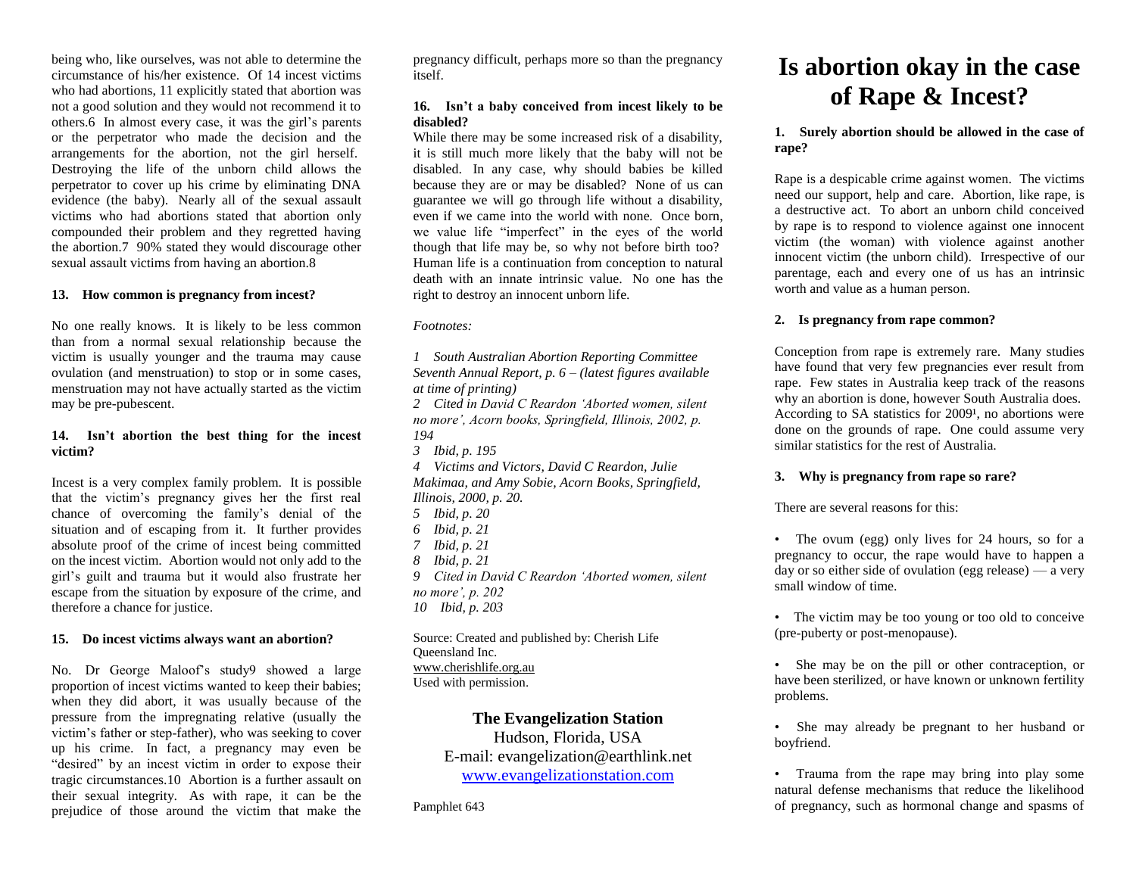being who, like ourselves, was not able to determine the circumstance of his/her existence. Of 14 incest victims who had abortions, 11 explicitly stated that abortion was not a good solution and they would not recommend it to others.6 In almost every case, it was the girl's parents or the perpetrator who made the decision and the arrangements for the abortion, not the girl herself. Destroying the life of the unborn child allows the perpetrator to cover up his crime by eliminating DNA evidence (the baby). Nearly all of the sexual assault victims who had abortions stated that abortion only compounded their problem and they regretted having the abortion.7 90% stated they would discourage other sexual assault victims from having an abortion.8

## **13. How common is pregnancy from incest?**

No one really knows. It is likely to be less common than from a normal sexual relationship because the victim is usually younger and the trauma may cause ovulation (and menstruation) to stop or in some cases, menstruation may not have actually started as the victim may be pre-pubescent.

## **14. Isn't abortion the best thing for the incest victim?**

Incest is a very complex family problem. It is possible that the victim's pregnancy gives her the first real chance of overcoming the family's denial of the situation and of escaping from it. It further provides absolute proof of the crime of incest being committed on the incest victim. Abortion would not only add to the girl's guilt and trauma but it would also frustrate her escape from the situation by exposure of the crime, and therefore a chance for justice.

## **15. Do incest victims always want an abortion?**

No. Dr George Maloof's study9 showed a large proportion of incest victims wanted to keep their babies; when they did abort, it was usually because of the pressure from the impregnating relative (usually the victim's father or step-father), who was seeking to cover up his crime. In fact, a pregnancy may even be "desired" by an incest victim in order to expose their tragic circumstances.10 Abortion is a further assault on their sexual integrity. As with rape, it can be the prejudice of those around the victim that make the

pregnancy difficult, perhaps more so than the pregnancy itself.

## **16. Isn't a baby conceived from incest likely to be disabled?**

While there may be some increased risk of a disability, it is still much more likely that the baby will not be disabled. In any case, why should babies be killed because they are or may be disabled? None of us can guarantee we will go through life without a disability, even if we came into the world with none. Once born, we value life "imperfect" in the eyes of the world though that life may be, so why not before birth too? Human life is a continuation from conception to natural death with an innate intrinsic value. No one has the right to destroy an innocent unborn life.

*Footnotes:*

*1 South Australian Abortion Reporting Committee Seventh Annual Report, p. 6 – (latest figures available at time of printing)*

*2 Cited in David C Reardon 'Aborted women, silent no more', Acorn books, Springfield, Illinois, 2002, p. 194*

*3 Ibid, p. 195*

*4 Victims and Victors, David C Reardon, Julie* 

*Makimaa, and Amy Sobie, Acorn Books, Springfield, Illinois, 2000, p. 20.*

- *5 Ibid, p. 20*
- *6 Ibid, p. 21*
- *7 Ibid, p. 21*
- *8 Ibid, p. 21*
- *9 Cited in David C Reardon 'Aborted women, silent no more', p. 202*

*10 Ibid, p. 203* 

Source: Created and published by: Cherish Life Queensland Inc. [www.cherishlife.org.au](http://www.cherishlife.org.au/) Used with permission.

## **The Evangelization Station**

Hudson, Florida, USA E-mail: evangelization@earthlink.net [www.evangelizationstation.com](http://www.pjpiisoe.org/)

Pamphlet 643

# **Is abortion okay in the case of Rape & Incest?**

## **1. Surely abortion should be allowed in the case of rape?**

Rape is a despicable crime against women. The victims need our support, help and care. Abortion, like rape, is a destructive act. To abort an unborn child conceived by rape is to respond to violence against one innocent victim (the woman) with violence against another innocent victim (the unborn child). Irrespective of our parentage, each and every one of us has an intrinsic worth and value as a human person.

## **2. Is pregnancy from rape common?**

Conception from rape is extremely rare. Many studies have found that very few pregnancies ever result from rape. Few states in Australia keep track of the reasons why an abortion is done, however South Australia does. According to SA statistics for  $2009<sup>1</sup>$ , no abortions were done on the grounds of rape. One could assume very similar statistics for the rest of Australia.

## **3. Why is pregnancy from rape so rare?**

There are several reasons for this:

• The ovum (egg) only lives for 24 hours, so for a pregnancy to occur, the rape would have to happen a day or so either side of ovulation (egg release)  $\overrightarrow{a}$  very small window of time.

• The victim may be too young or too old to conceive (pre-puberty or post-menopause).

• She may be on the pill or other contraception, or have been sterilized, or have known or unknown fertility problems.

• She may already be pregnant to her husband or boyfriend.

• Trauma from the rape may bring into play some natural defense mechanisms that reduce the likelihood of pregnancy, such as hormonal change and spasms of